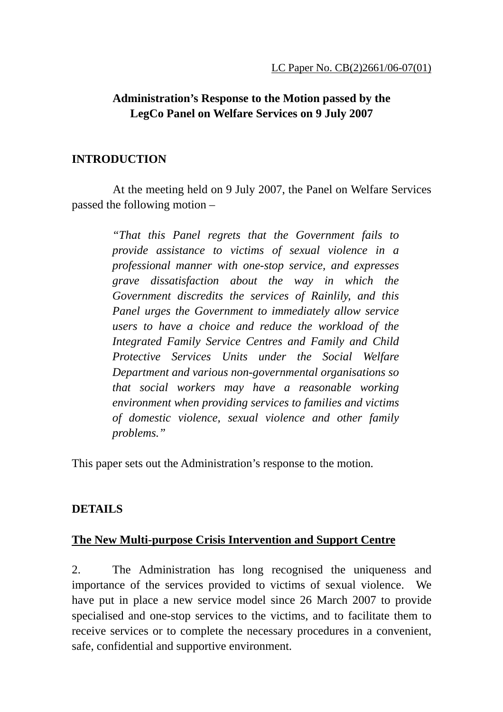# **Administration's Response to the Motion passed by the LegCo Panel on Welfare Services on 9 July 2007**

#### **INTRODUCTION**

At the meeting held on 9 July 2007, the Panel on Welfare Services passed the following motion –

> *"That this Panel regrets that the Government fails to provide assistance to victims of sexual violence in a professional manner with one-stop service, and expresses grave dissatisfaction about the way in which the Government discredits the services of Rainlily, and this Panel urges the Government to immediately allow service users to have a choice and reduce the workload of the Integrated Family Service Centres and Family and Child Protective Services Units under the Social Welfare Department and various non-governmental organisations so that social workers may have a reasonable working environment when providing services to families and victims of domestic violence, sexual violence and other family problems."*

This paper sets out the Administration's response to the motion.

### **DETAILS**

### **The New Multi-purpose Crisis Intervention and Support Centre**

2. The Administration has long recognised the uniqueness and importance of the services provided to victims of sexual violence. We have put in place a new service model since 26 March 2007 to provide specialised and one-stop services to the victims, and to facilitate them to receive services or to complete the necessary procedures in a convenient, safe, confidential and supportive environment.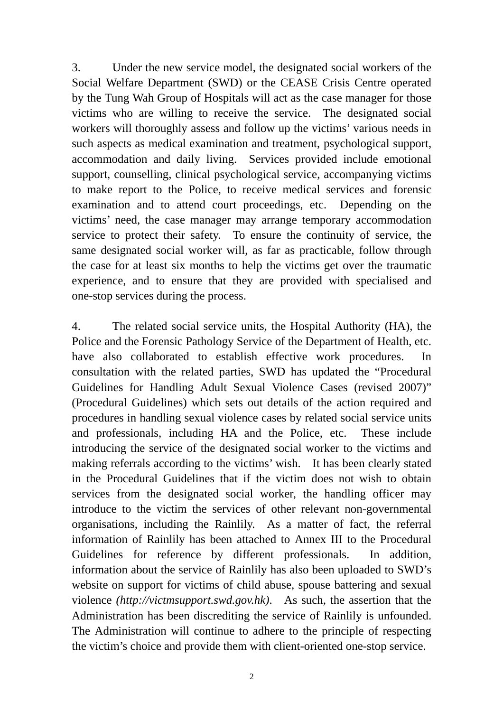3. Under the new service model, the designated social workers of the Social Welfare Department (SWD) or the CEASE Crisis Centre operated by the Tung Wah Group of Hospitals will act as the case manager for those victims who are willing to receive the service. The designated social workers will thoroughly assess and follow up the victims' various needs in such aspects as medical examination and treatment, psychological support, accommodation and daily living. Services provided include emotional support, counselling, clinical psychological service, accompanying victims to make report to the Police, to receive medical services and forensic examination and to attend court proceedings, etc. Depending on the victims' need, the case manager may arrange temporary accommodation service to protect their safety. To ensure the continuity of service, the same designated social worker will, as far as practicable, follow through the case for at least six months to help the victims get over the traumatic experience, and to ensure that they are provided with specialised and one-stop services during the process.

4. The related social service units, the Hospital Authority (HA), the Police and the Forensic Pathology Service of the Department of Health, etc. have also collaborated to establish effective work procedures. In consultation with the related parties, SWD has updated the "Procedural Guidelines for Handling Adult Sexual Violence Cases (revised 2007)" (Procedural Guidelines) which sets out details of the action required and procedures in handling sexual violence cases by related social service units and professionals, including HA and the Police, etc. These include introducing the service of the designated social worker to the victims and making referrals according to the victims' wish. It has been clearly stated in the Procedural Guidelines that if the victim does not wish to obtain services from the designated social worker, the handling officer may introduce to the victim the services of other relevant non-governmental organisations, including the Rainlily. As a matter of fact, the referral information of Rainlily has been attached to Annex III to the Procedural Guidelines for reference by different professionals. In addition, information about the service of Rainlily has also been uploaded to SWD's website on support for victims of child abuse, spouse battering and sexual violence *(http://victmsupport.swd.gov.hk)*. As such, the assertion that the Administration has been discrediting the service of Rainlily is unfounded. The Administration will continue to adhere to the principle of respecting the victim's choice and provide them with client-oriented one-stop service.